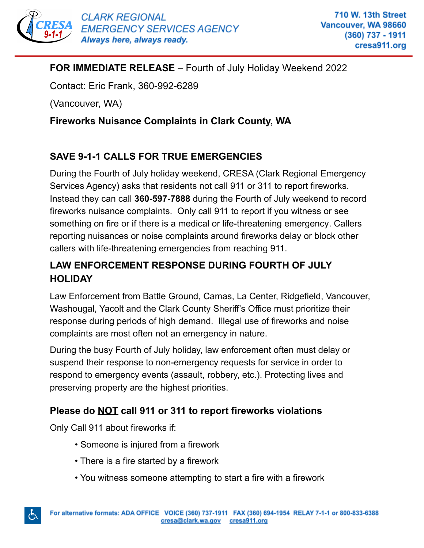

## **FOR IMMEDIATE RELEASE** – Fourth of July Holiday Weekend 2022

Contact: Eric Frank, 360-992-6289

(Vancouver, WA)

### **Fireworks Nuisance Complaints in Clark County, WA**

# **SAVE 9-1-1 CALLS FOR TRUE EMERGENCIES**

During the Fourth of July holiday weekend, CRESA (Clark Regional Emergency Services Agency) asks that residents not call 911 or 311 to report fireworks. Instead they can call **360-597-7888** during the Fourth of July weekend to record fireworks nuisance complaints. Only call 911 to report if you witness or see something on fire or if there is a medical or life-threatening emergency. Callers reporting nuisances or noise complaints around fireworks delay or block other callers with life-threatening emergencies from reaching 911.

# **LAW ENFORCEMENT RESPONSE DURING FOURTH OF JULY HOLIDAY**

Law Enforcement from Battle Ground, Camas, La Center, Ridgefield, Vancouver, Washougal, Yacolt and the Clark County Sheriff's Office must prioritize their response during periods of high demand. Illegal use of fireworks and noise complaints are most often not an emergency in nature.

During the busy Fourth of July holiday, law enforcement often must delay or suspend their response to non-emergency requests for service in order to respond to emergency events (assault, robbery, etc.). Protecting lives and preserving property are the highest priorities.

## **Please do NOT call 911 or 311 to report fireworks violations**

Only Call 911 about fireworks if:

心

- Someone is injured from a firework
- There is a fire started by a firework
- You witness someone attempting to start a fire with a firework